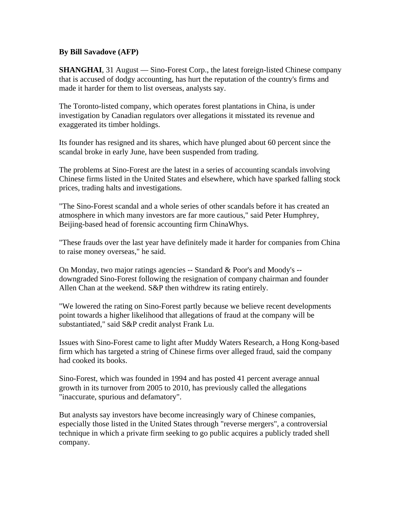## **By Bill Savadove (AFP)**

**SHANGHAI**, 31 August — Sino-Forest Corp., the latest foreign-listed Chinese company that is accused of dodgy accounting, has hurt the reputation of the country's firms and made it harder for them to list overseas, analysts say.

The Toronto-listed company, which operates forest plantations in China, is under investigation by Canadian regulators over allegations it misstated its revenue and exaggerated its timber holdings.

Its founder has resigned and its shares, which have plunged about 60 percent since the scandal broke in early June, have been suspended from trading.

The problems at Sino-Forest are the latest in a series of accounting scandals involving Chinese firms listed in the United States and elsewhere, which have sparked falling stock prices, trading halts and investigations.

"The Sino-Forest scandal and a whole series of other scandals before it has created an atmosphere in which many investors are far more cautious," said Peter Humphrey, Beijing-based head of forensic accounting firm ChinaWhys.

"These frauds over the last year have definitely made it harder for companies from China to raise money overseas," he said.

On Monday, two major ratings agencies -- Standard & Poor's and Moody's - downgraded Sino-Forest following the resignation of company chairman and founder Allen Chan at the weekend. S&P then withdrew its rating entirely.

"We lowered the rating on Sino-Forest partly because we believe recent developments point towards a higher likelihood that allegations of fraud at the company will be substantiated," said S&P credit analyst Frank Lu.

Issues with Sino-Forest came to light after Muddy Waters Research, a Hong Kong-based firm which has targeted a string of Chinese firms over alleged fraud, said the company had cooked its books.

Sino-Forest, which was founded in 1994 and has posted 41 percent average annual growth in its turnover from 2005 to 2010, has previously called the allegations "inaccurate, spurious and defamatory".

But analysts say investors have become increasingly wary of Chinese companies, especially those listed in the United States through "reverse mergers", a controversial technique in which a private firm seeking to go public acquires a publicly traded shell company.